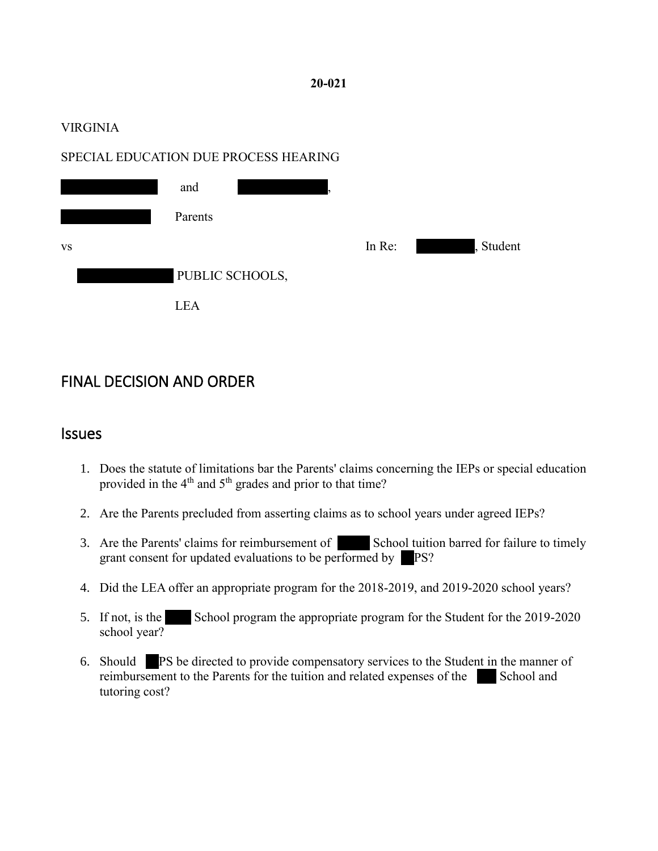#### **20-021**

#### VIRGINIA

#### SPECIAL EDUCATION DUE PROCESS HEARING



## FINAL DECISION AND ORDER

#### **Issues**

- 1. Does the statute of limitations bar the Parents' claims concerning the IEPs or special education provided in the 4<sup>th</sup> and 5<sup>th</sup> grades and prior to that time?
- 2. Are the Parents precluded from asserting claims as to school years under agreed IEPs?
- 3. Are the Parents' claims for reimbursement of School tuition barred for failure to timely grant consent for updated evaluations to be performed by  $\blacksquare$  PS?
- 4. Did the LEA offer an appropriate program for the 2018-2019, and 2019-2020 school years?
- 5. If not, is the School program the appropriate program for the Student for the 2019-2020 school year?
- 6. Should **PS** be directed to provide compensatory services to the Student in the manner of reimbursement to the Parents for the tuition and related expenses of the School and tutoring cost?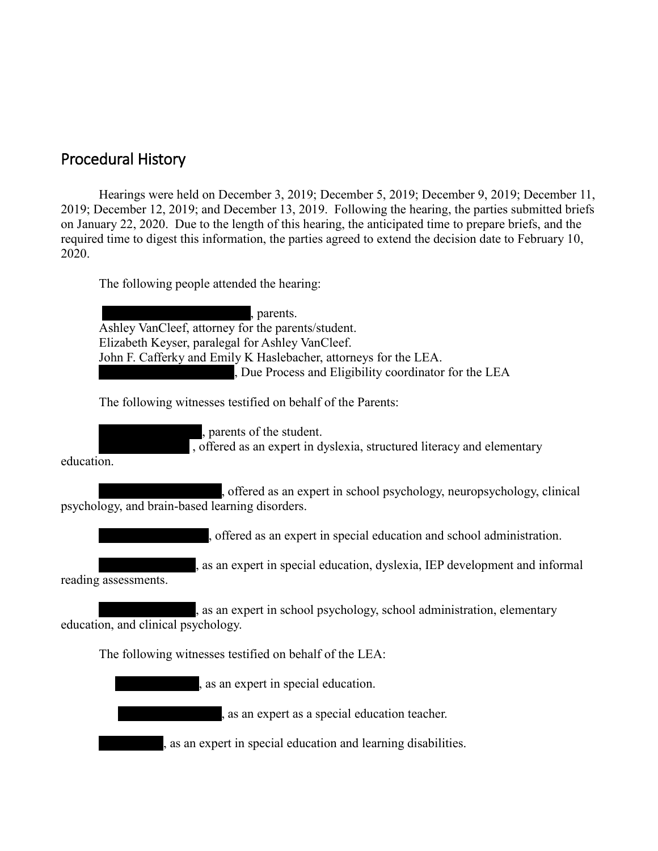## Procedural History

Hearings were held on December 3, 2019; December 5, 2019; December 9, 2019; December 11, 2019; December 12, 2019; and December 13, 2019. Following the hearing, the parties submitted briefs on January 22, 2020. Due to the length of this hearing, the anticipated time to prepare briefs, and the required time to digest this information, the parties agreed to extend the decision date to February 10, 2020.

The following people attended the hearing:

| , parents.                                                                                                                |
|---------------------------------------------------------------------------------------------------------------------------|
| Ashley VanCleef, attorney for the parents/student.<br>Elizabeth Keyser, paralegal for Ashley VanCleef.                    |
| John F. Cafferky and Emily K Haslebacher, attorneys for the LEA.                                                          |
| , Due Process and Eligibility coordinator for the LEA                                                                     |
| The following witnesses testified on behalf of the Parents:                                                               |
| , parents of the student.<br>, offered as an expert in dyslexia, structured literacy and elementary<br>education.         |
|                                                                                                                           |
| , offered as an expert in school psychology, neuropsychology, clinical<br>psychology, and brain-based learning disorders. |
| , offered as an expert in special education and school administration.                                                    |
| , as an expert in special education, dyslexia, IEP development and informal<br>reading assessments.                       |
| , as an expert in school psychology, school administration, elementary<br>education, and clinical psychology.             |
| The following witnesses testified on behalf of the LEA:                                                                   |
| , as an expert in special education.                                                                                      |
| , as an expert as a special education teacher.                                                                            |
| , as an expert in special education and learning disabilities.                                                            |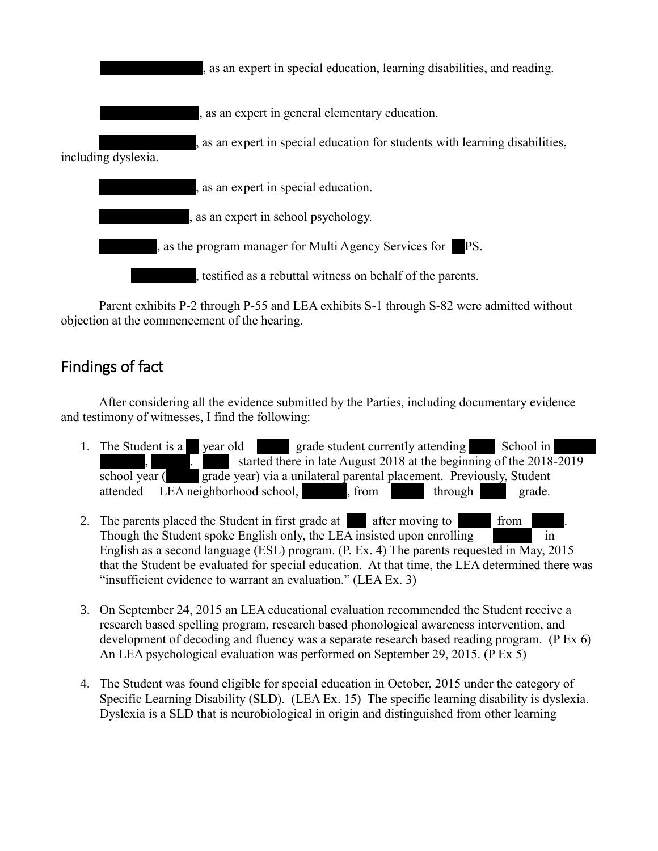$x<sub>x</sub>$ , as an expert in special education, learning disabilities, and reading.  $x,$  as an expert in general elementary education. , as an expert in special education for students with learning disabilities, including dyslexia.  $x<sub>x</sub>$ , as an expert in special education.  $x,$  as an expert in school psychology.  $x,$  as the program manager for Multi Agency Services for  $\blacksquare$  PS. testified as a rebuttal witness on behalf of the parents.

Parent exhibits P-2 through P-55 and LEA exhibits S-1 through S-82 were admitted without objection at the commencement of the hearing.

# Findings of fact

After considering all the evidence submitted by the Parties, including documentary evidence and testimony of witnesses, I find the following:

- 1. The Student is a year old year grade student currently attending School in xxxxxxx, xxxxxx. xxxx started there in late August 2018 at the beginning of the 2018-2019  $\overline{\phantom{a}}$  grade year) via a unilateral parental placement. Previously, Student attended LEA neighborhood school, strom through grade.
- 2. The parents placed the Student in first grade at  $\alpha$  after moving to from Though the Student spoke English only, the LEA insisted upon enrolling English as a second language (ESL) program.  $(P, Ex. 4)$  The parents requested in May, 2015 that the Student be evaluated for special education. At that time, the LEA determined there was "insufficient evidence to warrant an evaluation." (LEA Ex. 3)
- 3. On September 24, 2015 an LEA educational evaluation recommended the Student receive a research based spelling program, research based phonological awareness intervention, and development of decoding and fluency was a separate research based reading program. (P Ex 6) An LEA psychological evaluation was performed on September 29, 2015. (P Ex 5)
- 4. The Student was found eligible for special education in October, 2015 under the category of Specific Learning Disability (SLD). (LEA Ex. 15) The specific learning disability is dyslexia. Dyslexia is a SLD that is neurobiological in origin and distinguished from other learning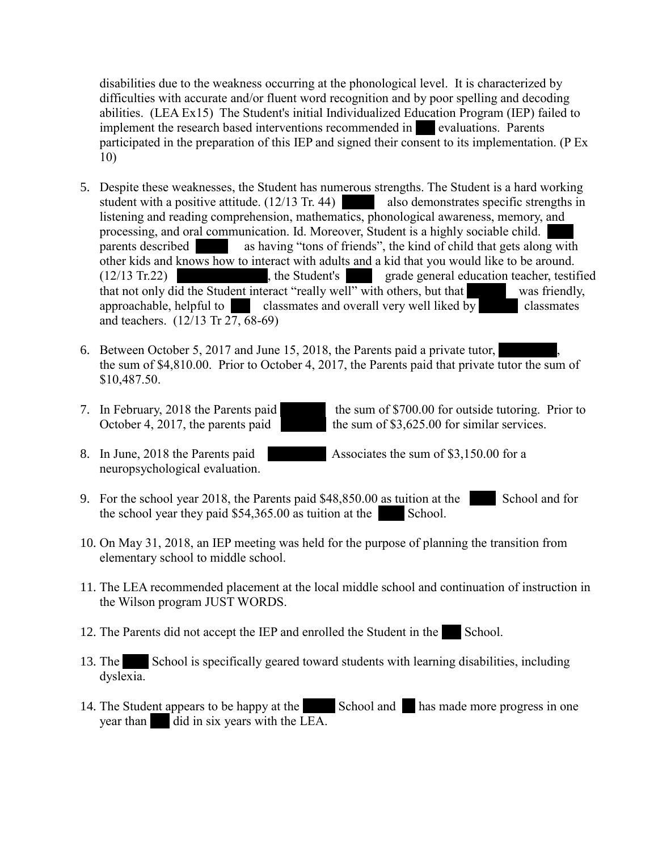disabilities due to the weakness occurring at the phonological level. It is characterized by difficulties with accurate and/or fluent word recognition and by poor spelling and decoding abilities. (LEA Ex15) The Student's initial Individualized Education Program (IEP) failed to implement the research based interventions recommended in **xx** evaluations. Parents participated in the preparation of this IEP and signed their consent to its implementation. (P Ex 10)

- 5. Despite these weaknesses, the Student has numerous strengths. The Student is a hard working student with a positive attitude.  $(12/13 \text{ Tr. } 44)$  also demonstrates specific strengths in listening and reading comprehension, mathematics, phonological awareness, memory, and processing, and oral communication. Id. Moreover, Student is a highly sociable child. parents described as having "tons of friends", the kind of child that gets along with other kids and knows how to interact with adults and a kid that you would like to be around. (12/13 Tr.22) the Student's grade general education teacher, testified that not only did the Student interact "really well" with others, but that was friendly, approachable, helpful to classmates and overall very well liked by classmates and teachers. (12/13 Tr 27, 68-69)
- 6. Between October 5, 2017 and June 15, 2018, the Parents paid a private tutor, the sum of \$4,810.00. Prior to October 4, 2017, the Parents paid that private tutor the sum of \$10,487.50.
- 

7. In February, 2018 the Parents paid the sum of \$700.00 for outside tutoring. Prior to October 4, 2017, the parents paid the sum of \$3,625.00 for similar services.

8. In June, 2018 the Parents paid Associates the sum of \$3,150.00 for a neuropsychological evaluation.

- 9. For the school year 2018, the Parents paid  $$48,850.00$  as tuition at the School and for the school year they paid  $$54,365.00$  as tuition at the School.
- 10. On May 31, 2018, an IEP meeting was held for the purpose of planning the transition from elementary school to middle school.
- 11. The LEA recommended placement at the local middle school and continuation of instruction in the Wilson program JUST WORDS.
- 12. The Parents did not accept the IEP and enrolled the Student in the School.
- 13. The School is specifically geared toward students with learning disabilities, including dyslexia.
- 14. The Student appears to be happy at the  $\blacksquare$  School and  $\blacksquare$  has made more progress in one year than did in six years with the LEA.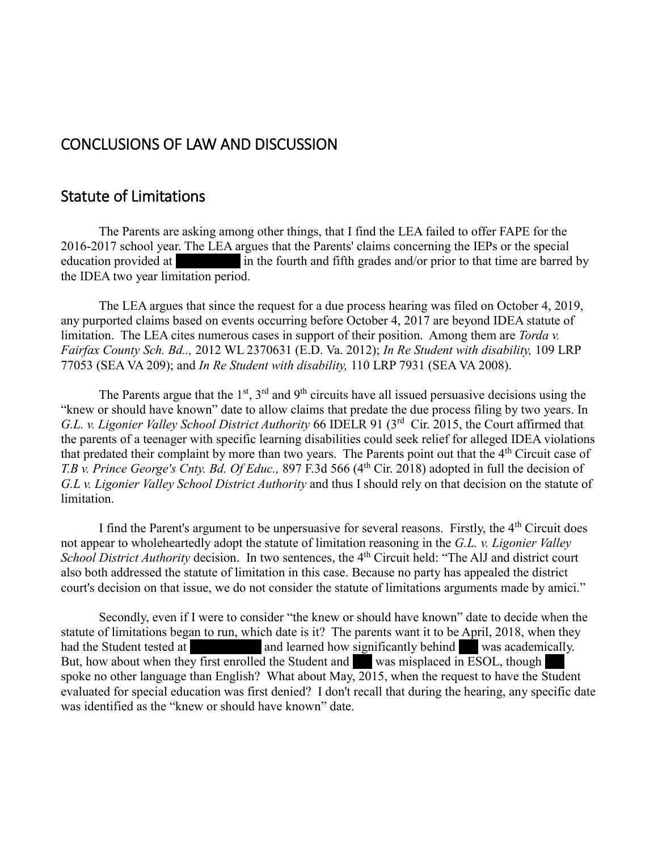## CONCLUSIONS OF LAW AND DISCUSSION

### Statute of Limitations

The Parents are asking among other things, that I find the LEA failed to offer FAPE for the 2016-2017 school year. The LEA argues that the Parents' claims concerning the IEPs or the special education provided at in the fourth and fifth grades and/or prior to that time are barred by the IDEA two year limitation period.

The LEA argues that since the request for a due process hearing was filed on October 4, 2019, any purported claims based on events occurring before October 4, 2017 are beyond IDEA statute of limitation. The LEA cites numerous cases in support of their position. Among them are *Torda v. Fairfax County Sch. Bd..,* 2012 WL 2370631 (E.D. Va. 2012); *In Re Student with disability,* 109 LRP 77053 (SEA VA 209); and *In Re Student with disability,* 110 LRP 7931 (SEA VA 2008).

The Parents argue that the  $1<sup>st</sup>$ ,  $3<sup>rd</sup>$  and  $9<sup>th</sup>$  circuits have all issued persuasive decisions using the "knew or should have known" date to allow claims that predate the due process filing by two years. In G.L. v. Ligonier Valley School District Authority 66 IDELR 91 (3<sup>rd</sup> Cir. 2015, the Court affirmed that the parents of a teenager with specific learning disabilities could seek relief for alleged IDEA violations that predated their complaint by more than two years. The Parents point out that the 4<sup>th</sup> Circuit case of *T.B v. Prince George's Cnty. Bd. Of Educ., 897 F.3d 566 (4<sup>th</sup> Cir. 2018) adopted in full the decision of G.L v. Ligonier Valley School District Authority* and thus I should rely on that decision on the statute of limitation.

I find the Parent's argument to be unpersuasive for several reasons. Firstly, the  $4<sup>th</sup>$  Circuit does not appear to wholeheartedly adopt the statute of limitation reasoning in the *G.L. v. Ligonier Valley School District Authority* decision. In two sentences, the 4<sup>th</sup> Circuit held: "The AlJ and district court also both addressed the statute of limitation in this case. Because no party has appealed the district court's decision on that issue, we do not consider the statute of limitations arguments made by amici."

Secondly, even if I were to consider "the knew or should have known" date to decide when the statute of limitations began to run, which date is it? The parents want it to be April, 2018, when they had the Student tested at xxx and learned how significantly behind xxx academically. But, how about when they first enrolled the Student and vas misplaced in ESOL, though spoke no other language than English? What about May, 2015, when the request to have the Student evaluated for special education was first denied? I don't recall that during the hearing, any specific date was identified as the "knew or should have known" date.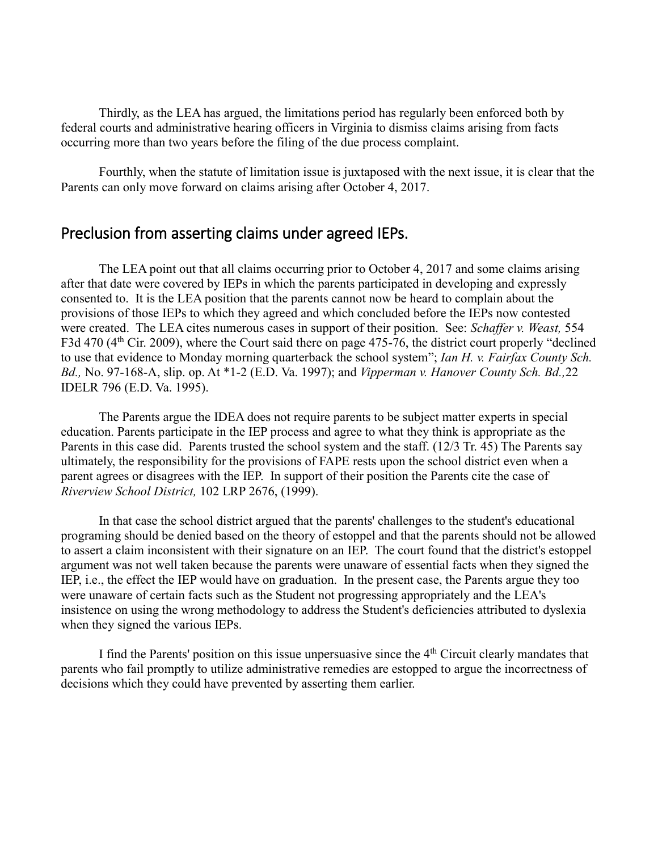Thirdly, as the LEA has argued, the limitations period has regularly been enforced both by federal courts and administrative hearing officers in Virginia to dismiss claims arising from facts occurring more than two years before the filing of the due process complaint.

Fourthly, when the statute of limitation issue is juxtaposed with the next issue, it is clear that the Parents can only move forward on claims arising after October 4, 2017.

### Preclusion from asserting claims under agreed IEPs.

The LEA point out that all claims occurring prior to October 4, 2017 and some claims arising after that date were covered by IEPs in which the parents participated in developing and expressly consented to. It is the LEA position that the parents cannot now be heard to complain about the provisions of those IEPs to which they agreed and which concluded before the IEPs now contested were created. The LEA cites numerous cases in support of their position. See: *Schaffer v. Weast,* 554 F3d 470 (4<sup>th</sup> Cir. 2009), where the Court said there on page 475-76, the district court properly "declined" to use that evidence to Monday morning quarterback the school system"; *Ian H. v. Fairfax County Sch. Bd.,* No. 97-168-A, slip. op. At \*1-2 (E.D. Va. 1997); and *Vipperman v. Hanover County Sch. Bd.,*22 IDELR 796 (E.D. Va. 1995).

The Parents argue the IDEA does not require parents to be subject matter experts in special education. Parents participate in the IEP process and agree to what they think is appropriate as the Parents in this case did. Parents trusted the school system and the staff. (12/3 Tr. 45) The Parents say ultimately, the responsibility for the provisions of FAPE rests upon the school district even when a parent agrees or disagrees with the IEP. In support of their position the Parents cite the case of *Riverview School District,* 102 LRP 2676, (1999).

In that case the school district argued that the parents' challenges to the student's educational programing should be denied based on the theory of estoppel and that the parents should not be allowed to assert a claim inconsistent with their signature on an IEP. The court found that the district's estoppel argument was not well taken because the parents were unaware of essential facts when they signed the IEP, i.e., the effect the IEP would have on graduation. In the present case, the Parents argue they too were unaware of certain facts such as the Student not progressing appropriately and the LEA's insistence on using the wrong methodology to address the Student's deficiencies attributed to dyslexia when they signed the various IEPs.

I find the Parents' position on this issue unpersuasive since the  $4<sup>th</sup>$  Circuit clearly mandates that parents who fail promptly to utilize administrative remedies are estopped to argue the incorrectness of decisions which they could have prevented by asserting them earlier.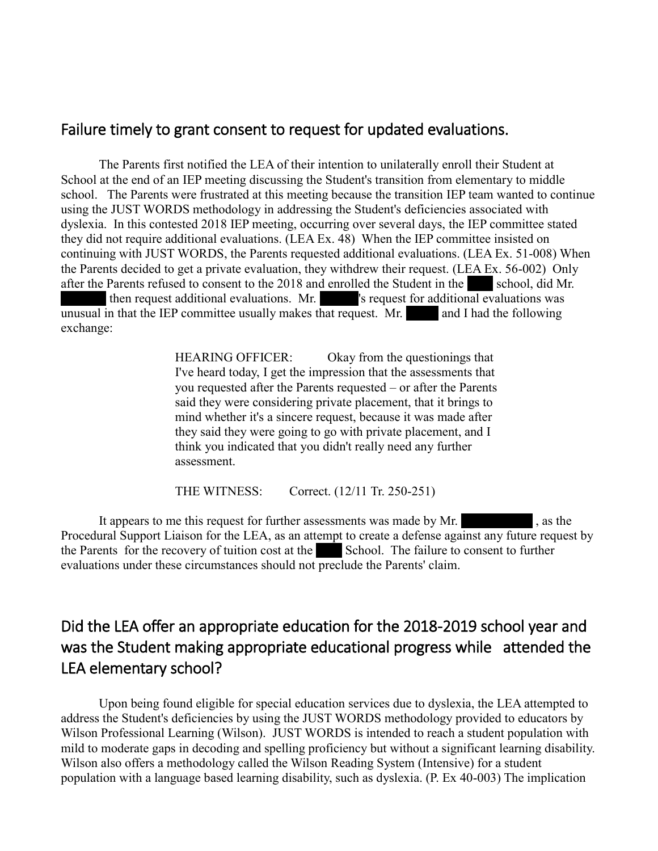### Failure timely to grant consent to request for updated evaluations.

The Parents first notified the LEA of their intention to unilaterally enroll their Student at School at the end of an IEP meeting discussing the Student's transition from elementary to middle school. The Parents were frustrated at this meeting because the transition IEP team wanted to continue using the JUST WORDS methodology in addressing the Student's deficiencies associated with dyslexia. In this contested 2018 IEP meeting, occurring over several days, the IEP committee stated they did not require additional evaluations. (LEA Ex. 48) When the IEP committee insisted on continuing with JUST WORDS, the Parents requested additional evaluations. (LEA Ex. 51-008) When the Parents decided to get a private evaluation, they withdrew their request. (LEA Ex. 56-002) Only after the Parents refused to consent to the 2018 and enrolled the Student in the school, did Mr. then request additional evaluations. Mr.  $\frac{1}{x}$  's request for additional evaluations was unusual in that the IEP committee usually makes that request. Mr. and I had the following exchange:

> HEARING OFFICER: Okay from the questionings that I've heard today, I get the impression that the assessments that you requested after the Parents requested – or after the Parents said they were considering private placement, that it brings to mind whether it's a sincere request, because it was made after they said they were going to go with private placement, and I think you indicated that you didn't really need any further assessment.

THE WITNESS: Correct. (12/11 Tr. 250-251)

It appears to me this request for further assessments was made by Mr. Procedural Support Liaison for the LEA, as an attempt to create a defense against any future request by the Parents for the recovery of tuition cost at the  $\blacksquare$  School. The failure to consent to further evaluations under these circumstances should not preclude the Parents' claim.

# Did the LEA offer an appropriate education for the 2018-2019 school year and was the Student making appropriate educational progress while attended the LEA elementary school?

Upon being found eligible for special education services due to dyslexia, the LEA attempted to address the Student's deficiencies by using the JUST WORDS methodology provided to educators by Wilson Professional Learning (Wilson). JUST WORDS is intended to reach a student population with mild to moderate gaps in decoding and spelling proficiency but without a significant learning disability. Wilson also offers a methodology called the Wilson Reading System (Intensive) for a student population with a language based learning disability, such as dyslexia. (P. Ex 40-003) The implication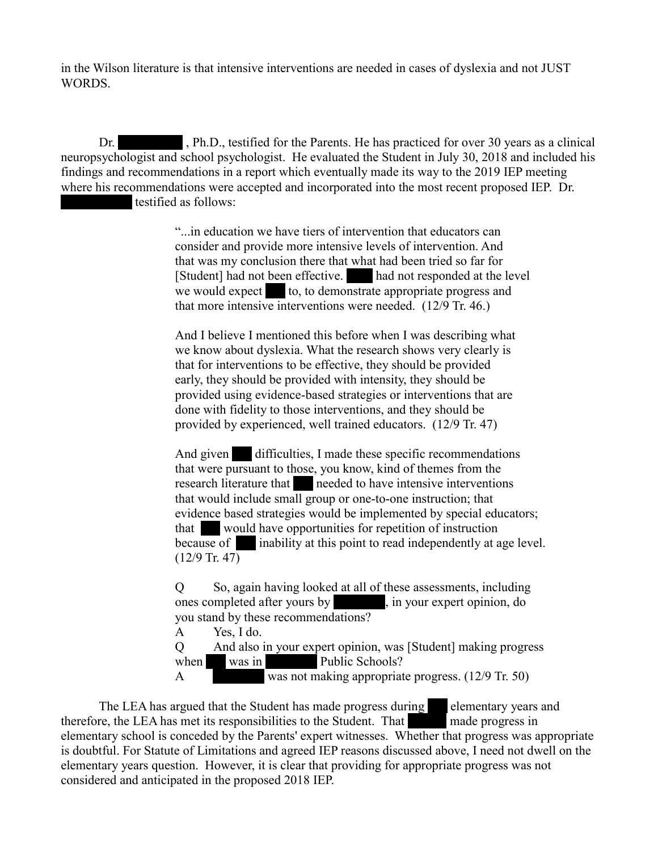in the Wilson literature is that intensive interventions are needed in cases of dyslexia and not JUST WORDS.

Dr. Ph.D., testified for the Parents. He has practiced for over 30 years as a clinical neuropsychologist and school psychologist. He evaluated the Student in July 30, 2018 and included his findings and recommendations in a report which eventually made its way to the 2019 IEP meeting where his recommendations were accepted and incorporated into the most recent proposed IEP. Dr. testified as follows:

> "...in education we have tiers of intervention that educators can consider and provide more intensive levels of intervention. And that was my conclusion there that what had been tried so far for [Student] had not been effective. And not responded at the level we would expect  $\bullet$  to, to demonstrate appropriate progress and that more intensive interventions were needed. (12/9 Tr. 46.)

And I believe I mentioned this before when I was describing what we know about dyslexia. What the research shows very clearly is that for interventions to be effective, they should be provided early, they should be provided with intensity, they should be provided using evidence-based strategies or interventions that are done with fidelity to those interventions, and they should be provided by experienced, well trained educators. (12/9 Tr. 47)

And given difficulties, I made these specific recommendations that were pursuant to those, you know, kind of themes from the research literature that needed to have intensive interventions that would include small group or one-to-one instruction; that evidence based strategies would be implemented by special educators; that would have opportunities for repetition of instruction because of  $\Box$  inability at this point to read independently at age level.  $(12/9$  Tr. 47)

Q So, again having looked at all of these assessments, including ones completed after yours by xxx, in your expert opinion, do you stand by these recommendations? A Yes, I do.

Q And also in your expert opinion, was [Student] making progress when was in Public Schools?

A was not making appropriate progress. (12/9 Tr. 50)

The LEA has argued that the Student has made progress during elementary years and therefore, the LEA has met its responsibilities to the Student. That made progress in elementary school is conceded by the Parents' expert witnesses. Whether that progress was appropriate is doubtful. For Statute of Limitations and agreed IEP reasons discussed above, I need not dwell on the elementary years question. However, it is clear that providing for appropriate progress was not considered and anticipated in the proposed 2018 IEP.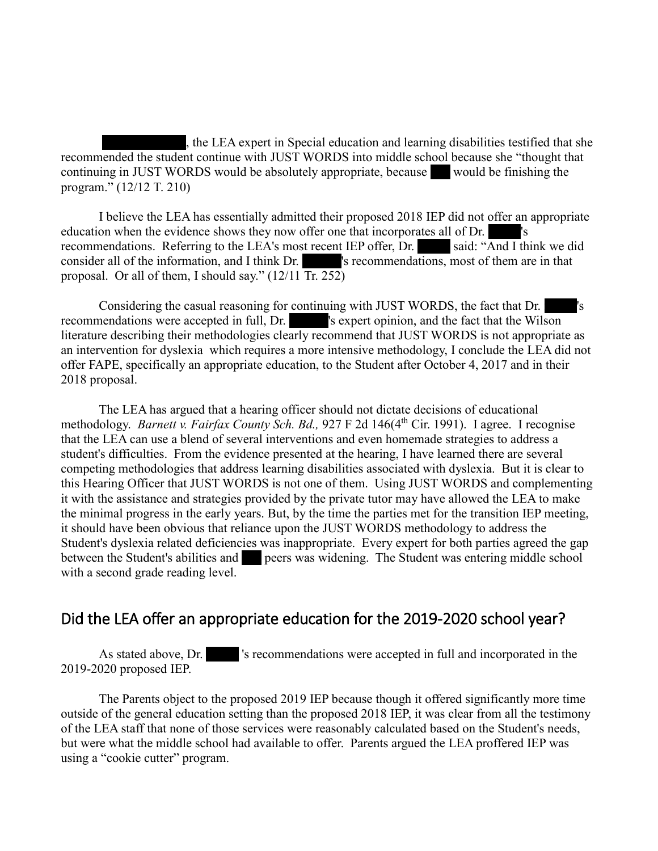the LEA expert in Special education and learning disabilities testified that she recommended the student continue with JUST WORDS into middle school because she "thought that continuing in JUST WORDS would be absolutely appropriate, because  $\blacksquare$  would be finishing the program." (12/12 T. 210)

I believe the LEA has essentially admitted their proposed 2018 IEP did not offer an appropriate education when the evidence shows they now offer one that incorporates all of Dr. recommendations. Referring to the LEA's most recent IEP offer, Dr. said: "And I think we did consider all of the information, and I think Dr.  $\blacksquare$  's recommendations, most of them are in that proposal. Or all of them, I should say." (12/11 Tr. 252)

Considering the casual reasoning for continuing with JUST WORDS, the fact that Dr. xxx: 's recommendations were accepted in full, Dr.  $\blacksquare$  's expert opinion, and the fact that the Wilson literature describing their methodologies clearly recommend that JUST WORDS is not appropriate as an intervention for dyslexia which requires a more intensive methodology, I conclude the LEA did not offer FAPE, specifically an appropriate education, to the Student after October 4, 2017 and in their 2018 proposal.

The LEA has argued that a hearing officer should not dictate decisions of educational methodology. *Barnett v. Fairfax County Sch. Bd.*, 927 F 2d 146(4<sup>th</sup> Cir. 1991). I agree. I recognise that the LEA can use a blend of several interventions and even homemade strategies to address a student's difficulties. From the evidence presented at the hearing, I have learned there are several competing methodologies that address learning disabilities associated with dyslexia. But it is clear to this Hearing Officer that JUST WORDS is not one of them. Using JUST WORDS and complementing it with the assistance and strategies provided by the private tutor may have allowed the LEA to make the minimal progress in the early years. But, by the time the parties met for the transition IEP meeting, it should have been obvious that reliance upon the JUST WORDS methodology to address the Student's dyslexia related deficiencies was inappropriate. Every expert for both parties agreed the gap between the Student's abilities and peers was widening. The Student was entering middle school with a second grade reading level.

## Did the LEA offer an appropriate education for the 2019-2020 school year?

As stated above, Dr. Street is recommendations were accepted in full and incorporated in the 2019-2020 proposed IEP.

The Parents object to the proposed 2019 IEP because though it offered significantly more time outside of the general education setting than the proposed 2018 IEP, it was clear from all the testimony of the LEA staff that none of those services were reasonably calculated based on the Student's needs, but were what the middle school had available to offer. Parents argued the LEA proffered IEP was using a "cookie cutter" program.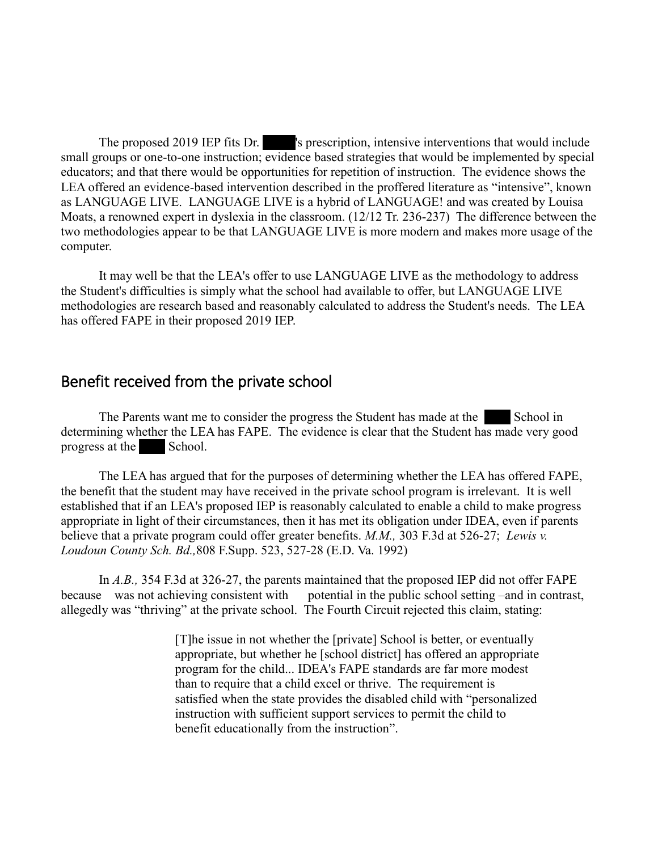The proposed 2019 IEP fits Dr. Solution, intensive interventions that would include small groups or one-to-one instruction; evidence based strategies that would be implemented by special educators; and that there would be opportunities for repetition of instruction. The evidence shows the LEA offered an evidence-based intervention described in the proffered literature as "intensive", known as LANGUAGE LIVE. LANGUAGE LIVE is a hybrid of LANGUAGE! and was created by Louisa Moats, a renowned expert in dyslexia in the classroom. (12/12 Tr. 236-237) The difference between the two methodologies appear to be that LANGUAGE LIVE is more modern and makes more usage of the computer.

It may well be that the LEA's offer to use LANGUAGE LIVE as the methodology to address the Student's difficulties is simply what the school had available to offer, but LANGUAGE LIVE methodologies are research based and reasonably calculated to address the Student's needs. The LEA has offered FAPE in their proposed 2019 IEP.

### Benefit received from the private school

The Parents want me to consider the progress the Student has made at the School in determining whether the LEA has FAPE. The evidence is clear that the Student has made very good progress at the School.

The LEA has argued that for the purposes of determining whether the LEA has offered FAPE, the benefit that the student may have received in the private school program is irrelevant. It is well established that if an LEA's proposed IEP is reasonably calculated to enable a child to make progress appropriate in light of their circumstances, then it has met its obligation under IDEA, even if parents believe that a private program could offer greater benefits. *M.M.,* 303 F.3d at 526-27; *Lewis v. Loudoun County Sch. Bd.,*808 F.Supp. 523, 527-28 (E.D. Va. 1992)

In *A.B.,* 354 F.3d at 326-27, the parents maintained that the proposed IEP did not offer FAPE because was not achieving consistent with potential in the public school setting –and in contrast, allegedly was "thriving" at the private school. The Fourth Circuit rejected this claim, stating:

> [T]he issue in not whether the [private] School is better, or eventually appropriate, but whether he [school district] has offered an appropriate program for the child... IDEA's FAPE standards are far more modest than to require that a child excel or thrive. The requirement is satisfied when the state provides the disabled child with "personalized instruction with sufficient support services to permit the child to benefit educationally from the instruction".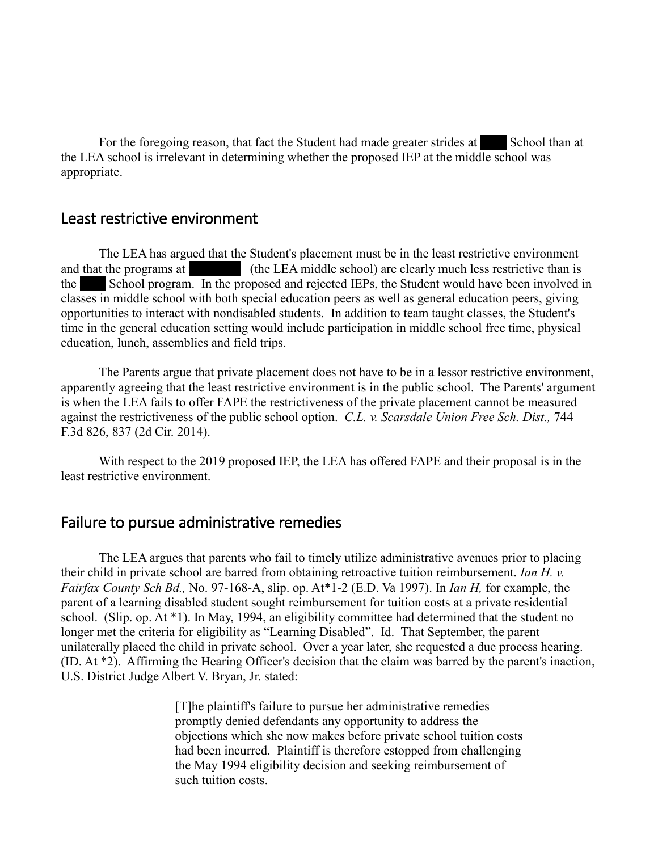For the foregoing reason, that fact the Student had made greater strides at School than at the LEA school is irrelevant in determining whether the proposed IEP at the middle school was appropriate.

### Least restrictive environment

The LEA has argued that the Student's placement must be in the least restrictive environment and that the programs at (the LEA middle school) are clearly much less restrictive than is the School program. In the proposed and rejected IEPs, the Student would have been involved in classes in middle school with both special education peers as well as general education peers, giving opportunities to interact with nondisabled students. In addition to team taught classes, the Student's time in the general education setting would include participation in middle school free time, physical education, lunch, assemblies and field trips.

The Parents argue that private placement does not have to be in a lessor restrictive environment, apparently agreeing that the least restrictive environment is in the public school. The Parents' argument is when the LEA fails to offer FAPE the restrictiveness of the private placement cannot be measured against the restrictiveness of the public school option. *C.L. v. Scarsdale Union Free Sch. Dist.,* 744 F.3d 826, 837 (2d Cir. 2014).

With respect to the 2019 proposed IEP, the LEA has offered FAPE and their proposal is in the least restrictive environment.

### Failure to pursue administrative remedies

The LEA argues that parents who fail to timely utilize administrative avenues prior to placing their child in private school are barred from obtaining retroactive tuition reimbursement. *Ian H. v. Fairfax County Sch Bd.,* No. 97-168-A, slip. op. At\*1-2 (E.D. Va 1997). In *Ian H,* for example, the parent of a learning disabled student sought reimbursement for tuition costs at a private residential school. (Slip. op. At \*1). In May, 1994, an eligibility committee had determined that the student no longer met the criteria for eligibility as "Learning Disabled". Id. That September, the parent unilaterally placed the child in private school. Over a year later, she requested a due process hearing. (ID. At \*2). Affirming the Hearing Officer's decision that the claim was barred by the parent's inaction, U.S. District Judge Albert V. Bryan, Jr. stated:

> [T]he plaintiff's failure to pursue her administrative remedies promptly denied defendants any opportunity to address the objections which she now makes before private school tuition costs had been incurred. Plaintiff is therefore estopped from challenging the May 1994 eligibility decision and seeking reimbursement of such tuition costs.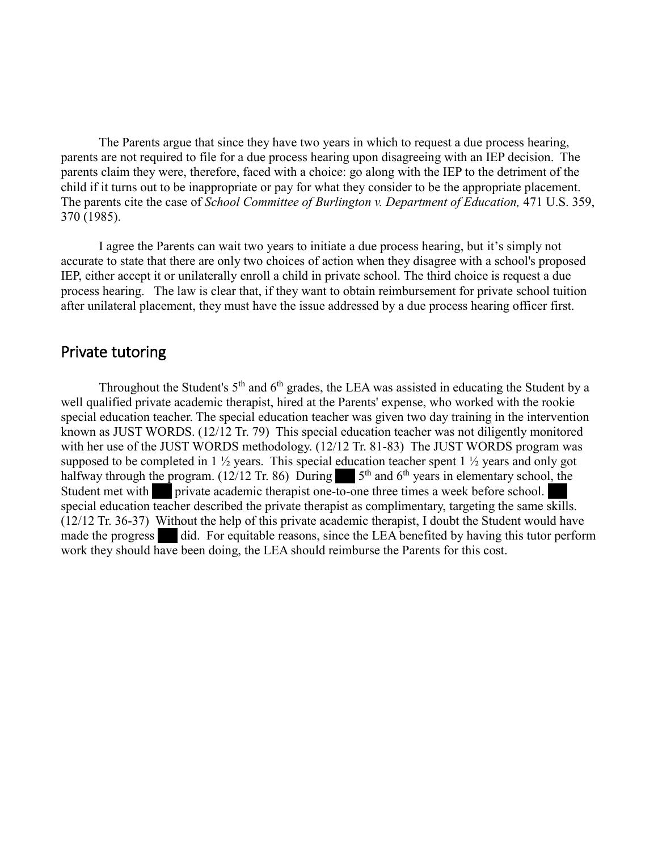The Parents argue that since they have two years in which to request a due process hearing, parents are not required to file for a due process hearing upon disagreeing with an IEP decision. The parents claim they were, therefore, faced with a choice: go along with the IEP to the detriment of the child if it turns out to be inappropriate or pay for what they consider to be the appropriate placement. The parents cite the case of *School Committee of Burlington v. Department of Education*, 471 U.S. 359, 370 (1985).

I agree the Parents can wait two years to initiate a due process hearing, but it's simply not accurate to state that there are only two choices of action when they disagree with a school's proposed IEP, either accept it or unilaterally enroll a child in private school. The third choice is request a due process hearing. The law is clear that, if they want to obtain reimbursement for private school tuition after unilateral placement, they must have the issue addressed by a due process hearing officer first.

### Private tutoring

Throughout the Student's  $5<sup>th</sup>$  and  $6<sup>th</sup>$  grades, the LEA was assisted in educating the Student by a well qualified private academic therapist, hired at the Parents' expense, who worked with the rookie special education teacher. The special education teacher was given two day training in the intervention known as JUST WORDS. (12/12 Tr. 79) This special education teacher was not diligently monitored with her use of the JUST WORDS methodology. (12/12 Tr. 81-83) The JUST WORDS program was supposed to be completed in 1 ½ years. This special education teacher spent 1 ½ years and only got halfway through the program. (12/12 Tr. 86) During  $5<sup>th</sup>$  and 6<sup>th</sup> years in elementary school, the Student met with private academic therapist one-to-one three times a week before school. special education teacher described the private therapist as complimentary, targeting the same skills. (12/12 Tr. 36-37) Without the help of this private academic therapist, I doubt the Student would have made the progress did. For equitable reasons, since the LEA benefited by having this tutor perform work they should have been doing, the LEA should reimburse the Parents for this cost.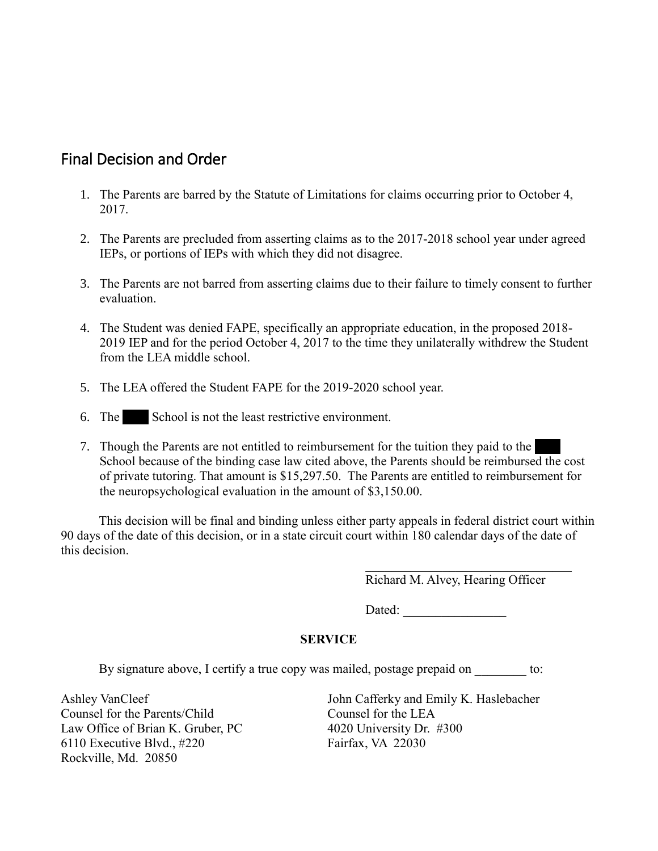# Final Decision and Order

- 1. The Parents are barred by the Statute of Limitations for claims occurring prior to October 4, 2017.
- 2. The Parents are precluded from asserting claims as to the 2017-2018 school year under agreed IEPs, or portions of IEPs with which they did not disagree.
- 3. The Parents are not barred from asserting claims due to their failure to timely consent to further evaluation.
- 4. The Student was denied FAPE, specifically an appropriate education, in the proposed 2018- 2019 IEP and for the period October 4, 2017 to the time they unilaterally withdrew the Student from the LEA middle school.
- 5. The LEA offered the Student FAPE for the 2019-2020 school year.
- 6. The School is not the least restrictive environment.
- 7. Though the Parents are not entitled to reimbursement for the tuition they paid to the School because of the binding case law cited above, the Parents should be reimbursed the cost of private tutoring. That amount is \$15,297.50. The Parents are entitled to reimbursement for the neuropsychological evaluation in the amount of \$3,150.00.

This decision will be final and binding unless either party appeals in federal district court within 90 days of the date of this decision, or in a state circuit court within 180 calendar days of the date of this decision.

Richard M. Alvey, Hearing Officer

Dated:

#### **SERVICE**

By signature above, I certify a true copy was mailed, postage prepaid on to:

Counsel for the Parents/Child Counsel for the LEA Law Office of Brian K. Gruber, PC 4020 University Dr. #300 6110 Executive Blvd., #220 Fairfax, VA 22030 Rockville, Md. 20850

Ashley VanCleef  $\qquad \qquad$  John Cafferky and Emily K. Haslebacher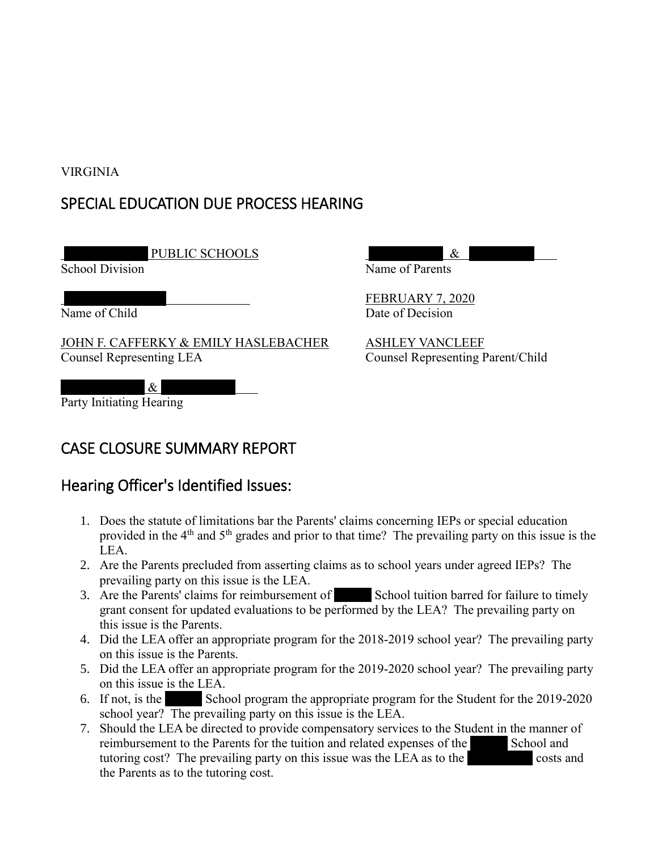### VIRGINIA

# SPECIAL EDUCATION DUE PROCESS HEARING

PUBLIC SCHOOLS  $\&$ 

JOHN F. CAFFERKY & EMILY HASLEBACHER ASHLEY VANCLEEF Counsel Representing LEA Counsel Representing Parent/Child

 $\&$ Party Initiating Hearing



# Hearing Officer's Identified Issues:

- 1. Does the statute of limitations bar the Parents' claims concerning IEPs or special education provided in the 4<sup>th</sup> and 5<sup>th</sup> grades and prior to that time? The prevailing party on this issue is the LEA.
- 2. Are the Parents precluded from asserting claims as to school years under agreed IEPs? The prevailing party on this issue is the LEA.
- 3. Are the Parents' claims for reimbursement of School tuition barred for failure to timely grant consent for updated evaluations to be performed by the LEA? The prevailing party on this issue is the Parents.
- 4. Did the LEA offer an appropriate program for the 2018-2019 school year? The prevailing party on this issue is the Parents.
- 5. Did the LEA offer an appropriate program for the 2019-2020 school year? The prevailing party on this issue is the LEA.
- 6. If not, is the School program the appropriate program for the Student for the  $2019-2020$ school year? The prevailing party on this issue is the LEA.
- 7. Should the LEA be directed to provide compensatory services to the Student in the manner of reimbursement to the Parents for the tuition and related expenses of the School and tutoring cost? The prevailing party on this issue was the LEA as to the costs and the Parents as to the tutoring cost.



**FEBRUARY 7, 2020** Name of Child Date of Decision